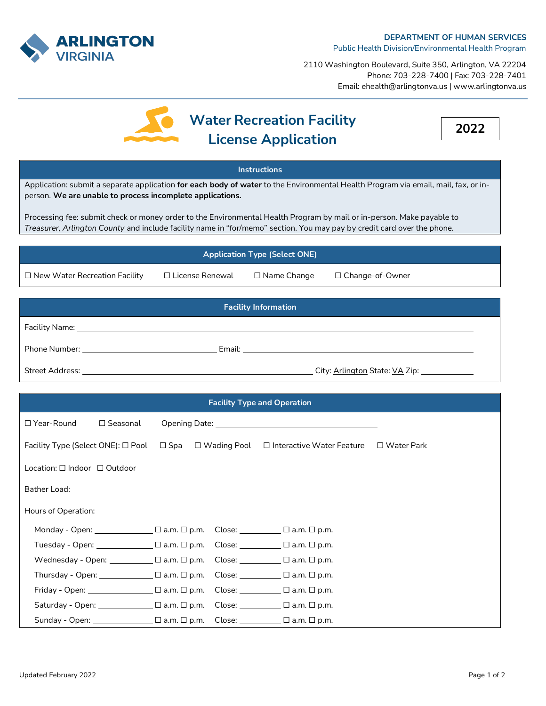

2110 Washington Boulevard, Suite 350, Arlington, VA 22204 Phone: 703-228-7400 | Fax: 703-228-7401 Email: ehealth@arlingtonva.us | www.arlingtonva.us

## **Water Recreation Facility License Application**

**2022**

## **Instructions**

Application: submit a separate application **for each body of water** to the Environmental Health Program via email, mail, fax, or inperson. **We are unable to process incomplete applications.**

Processing fee: submit check or money order to the Environmental Health Program by mail or in-person. Make payable to *Treasurer, Arlington County* and include facility name in "for/memo" section. You may pay by credit card over the phone.

## **Application Type (Select ONE)** ☐ New Water Recreation Facility ☐ License Renewal ☐ Name Change ☐ Change-of-Owner **Facility Information** Facility Name:

| <b>Street Address:</b> | City: Arlington State: VA Zip: |  |
|------------------------|--------------------------------|--|

Phone Number: Email:

| <b>Facility Type and Operation</b>           |                 |  |  |                                                                                                     |  |  |  |
|----------------------------------------------|-----------------|--|--|-----------------------------------------------------------------------------------------------------|--|--|--|
| $\Box$ Year-Round                            | $\Box$ Seasonal |  |  |                                                                                                     |  |  |  |
|                                              |                 |  |  | Facility Type (Select ONE): □ Pool □ Spa □ Wading Pool □ Interactive Water Feature □ Water Park     |  |  |  |
| Location: $\square$ Indoor $\square$ Outdoor |                 |  |  |                                                                                                     |  |  |  |
|                                              |                 |  |  |                                                                                                     |  |  |  |
| Hours of Operation:                          |                 |  |  |                                                                                                     |  |  |  |
|                                              |                 |  |  |                                                                                                     |  |  |  |
|                                              |                 |  |  | Tuesday - Open: ________________ $\Box$ a.m. $\Box$ p.m. Close: ___________ $\Box$ a.m. $\Box$ p.m. |  |  |  |
|                                              |                 |  |  | Wednesday - Open: $\Box$ a.m. $\Box$ p.m. Close: $\Box$ a.m. $\Box$ p.m.                            |  |  |  |
|                                              |                 |  |  |                                                                                                     |  |  |  |
|                                              |                 |  |  |                                                                                                     |  |  |  |
|                                              |                 |  |  | Saturday - Open: $\Box$ a.m. $\Box$ p.m. Close: $\Box$ a.m. $\Box$ p.m.                             |  |  |  |
|                                              |                 |  |  | Sunday - Open: $\Box$ a.m. $\Box$ p.m. Close: $\Box$ a.m. $\Box$ p.m.                               |  |  |  |